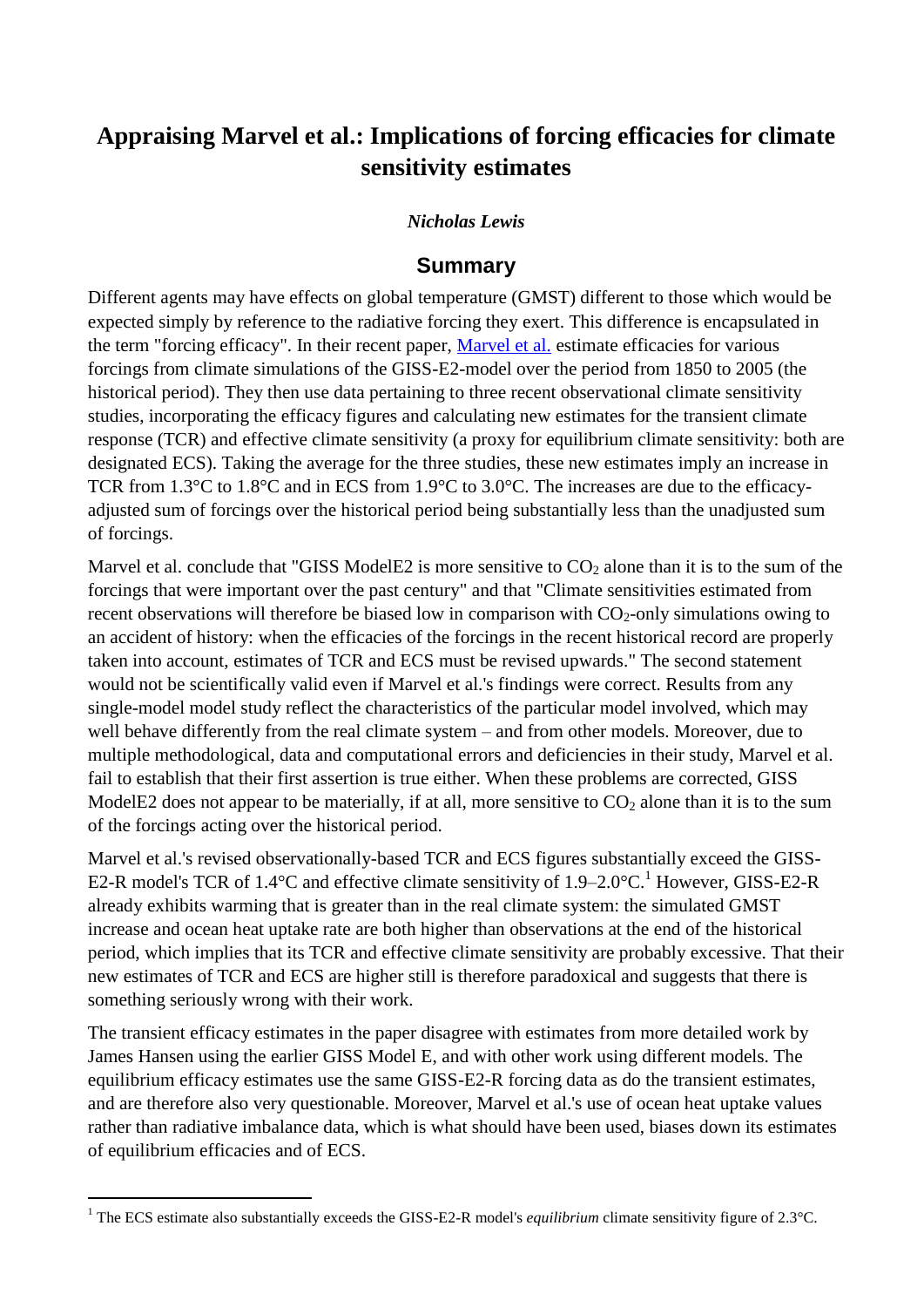## **Appraising Marvel et al.: Implications of forcing efficacies for climate sensitivity estimates**

## *Nicholas Lewis*

## **Summary**

Different agents may have effects on global temperature (GMST) different to those which would be expected simply by reference to the radiative forcing they exert. This difference is encapsulated in the term "forcing efficacy". In their recent paper, [Marvel et al.](http://www.nature.com/nclimate/journal/vaop/ncurrent/full/nclimate2888.html) estimate efficacies for various forcings from climate simulations of the GISS-E2-model over the period from 1850 to 2005 (the historical period). They then use data pertaining to three recent observational climate sensitivity studies, incorporating the efficacy figures and calculating new estimates for the transient climate response (TCR) and effective climate sensitivity (a proxy for equilibrium climate sensitivity: both are designated ECS). Taking the average for the three studies, these new estimates imply an increase in TCR from 1.3°C to 1.8°C and in ECS from 1.9°C to 3.0°C. The increases are due to the efficacyadjusted sum of forcings over the historical period being substantially less than the unadjusted sum of forcings.

Marvel et al. conclude that "GISS ModelE2 is more sensitive to  $CO<sub>2</sub>$  alone than it is to the sum of the forcings that were important over the past century" and that "Climate sensitivities estimated from recent observations will therefore be biased low in comparison with  $CO<sub>2</sub>$ -only simulations owing to an accident of history: when the efficacies of the forcings in the recent historical record are properly taken into account, estimates of TCR and ECS must be revised upwards." The second statement would not be scientifically valid even if Marvel et al.'s findings were correct. Results from any single-model model study reflect the characteristics of the particular model involved, which may well behave differently from the real climate system – and from other models. Moreover, due to multiple methodological, data and computational errors and deficiencies in their study, Marvel et al. fail to establish that their first assertion is true either. When these problems are corrected, GISS ModelE2 does not appear to be materially, if at all, more sensitive to  $CO<sub>2</sub>$  alone than it is to the sum of the forcings acting over the historical period.

Marvel et al.'s revised observationally-based TCR and ECS figures substantially exceed the GISS-E2-R model's TCR of 1.4 $\degree$ C and effective climate sensitivity of 1.9–2.0 $\degree$ C.<sup>1</sup> However, GISS-E2-R already exhibits warming that is greater than in the real climate system: the simulated GMST increase and ocean heat uptake rate are both higher than observations at the end of the historical period, which implies that its TCR and effective climate sensitivity are probably excessive. That their new estimates of TCR and ECS are higher still is therefore paradoxical and suggests that there is something seriously wrong with their work.

The transient efficacy estimates in the paper disagree with estimates from more detailed work by James Hansen using the earlier GISS Model E, and with other work using different models. The equilibrium efficacy estimates use the same GISS-E2-R forcing data as do the transient estimates, and are therefore also very questionable. Moreover, Marvel et al.'s use of ocean heat uptake values rather than radiative imbalance data, which is what should have been used, biases down its estimates of equilibrium efficacies and of ECS.

1

<sup>&</sup>lt;sup>1</sup> The ECS estimate also substantially exceeds the GISS-E2-R model's *equilibrium* climate sensitivity figure of 2.3°C.